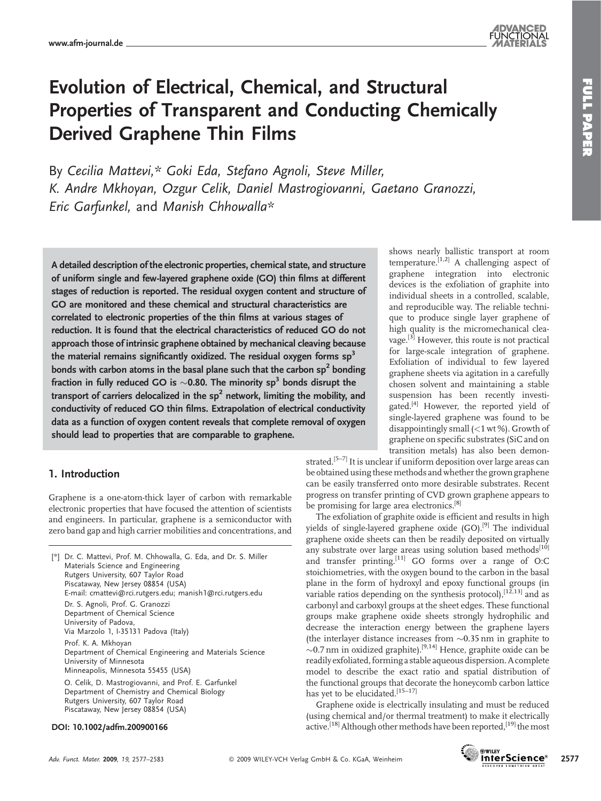# Evolution of Electrical, Chemical, and Structural Properties of Transparent and Conducting Chemically Derived Graphene Thin Films

By Cecilia Mattevi,\* Goki Eda, Stefano Agnoli, Steve Miller, K. Andre Mkhoyan, Ozgur Celik, Daniel Mastrogiovanni, Gaetano Granozzi, Eric Garfunkel, and Manish Chhowalla\*

A detailed description of the electronic properties, chemical state, and structure of uniform single and few-layered graphene oxide (GO) thin films at different stages of reduction is reported. The residual oxygen content and structure of GO are monitored and these chemical and structural characteristics are correlated to electronic properties of the thin films at various stages of reduction. It is found that the electrical characteristics of reduced GO do not approach those of intrinsic graphene obtained by mechanical cleaving because the material remains significantly oxidized. The residual oxygen forms  $sp^3$ bonds with carbon atoms in the basal plane such that the carbon  $sp<sup>2</sup>$  bonding fraction in fully reduced GO is  $\sim$ 0.80. The minority sp<sup>3</sup> bonds disrupt the transport of carriers delocalized in the  $sp<sup>2</sup>$  network, limiting the mobility, and conductivity of reduced GO thin films. Extrapolation of electrical conductivity data as a function of oxygen content reveals that complete removal of oxygen should lead to properties that are comparable to graphene.

## 1. Introduction

Graphene is a one-atom-thick layer of carbon with remarkable electronic properties that have focused the attention of scientists and engineers. In particular, graphene is a semiconductor with zero band gap and high carrier mobilities and concentrations, and

[*\**] Dr. C. Mattevi, Prof. M. Chhowalla, G. Eda, and Dr. S. Miller Materials Science and Engineering Rutgers University, 607 Taylor Road Piscataway, New Jersey 08854 (USA) E-mail: cmattevi@rci.rutgers.edu; manish1@rci.rutgers.edu Dr. S. Agnoli, Prof. G. Granozzi Department of Chemical Science University of Padova, Via Marzolo 1, I-35131 Padova (Italy) Prof. K. A. Mkhoyan Department of Chemical Engineering and Materials Science University of Minnesota Minneapolis, Minnesota 55455 (USA) O. Celik, D. Mastrogiovanni, and Prof. E. Garfunkel Department of Chemistry and Chemical Biology Rutgers University, 607 Taylor Road

Piscataway, New Jersey 08854 (USA)

#### DOI: 10.1002/adfm.200900166

shows nearly ballistic transport at room temperature.<sup>[1,2]</sup> A challenging aspect of graphene integration into electronic devices is the exfoliation of graphite into individual sheets in a controlled, scalable, and reproducible way. The reliable technique to produce single layer graphene of high quality is the micromechanical cleavage.[3] However, this route is not practical for large-scale integration of graphene. Exfoliation of individual to few layered graphene sheets via agitation in a carefully chosen solvent and maintaining a stable suspension has been recently investigated.[4] However, the reported yield of single-layered graphene was found to be disappointingly small (<1 wt %). Growth of graphene on specific substrates (SiC and on transition metals) has also been demon-

strated.<sup>[5-7]</sup> It is unclear if uniform deposition over large areas can be obtained using these methods and whether the grown graphene can be easily transferred onto more desirable substrates. Recent progress on transfer printing of CVD grown graphene appears to be promising for large area electronics.<sup>[8]</sup>

The exfoliation of graphite oxide is efficient and results in high yields of single-layered graphene oxide (GO).<sup>[9]</sup> The individual graphene oxide sheets can then be readily deposited on virtually any substrate over large areas using solution based methods<sup>[10]</sup> and transfer printing.<sup>[11]</sup> GO forms over a range of O:C stoichiometries, with the oxygen bound to the carbon in the basal plane in the form of hydroxyl and epoxy functional groups (in variable ratios depending on the synthesis protocol),  $^{[1\bar{2},13]}$  and as carbonyl and carboxyl groups at the sheet edges. These functional groups make graphene oxide sheets strongly hydrophilic and decrease the interaction energy between the graphene layers (the interlayer distance increases from  $\sim 0.35$  nm in graphite to  $\sim$ 0.7 nm in oxidized graphite).<sup>[9,14]</sup> Hence, graphite oxide can be readily exfoliated, forming a stable aqueous dispersion. A complete model to describe the exact ratio and spatial distribution of the functional groups that decorate the honeycomb carbon lattice has yet to be elucidated.<sup>[15-17]</sup>

Graphene oxide is electrically insulating and must be reduced (using chemical and/or thermal treatment) to make it electrically active.<sup>[18]</sup> Although other methods have been reported,<sup>[19]</sup> the most

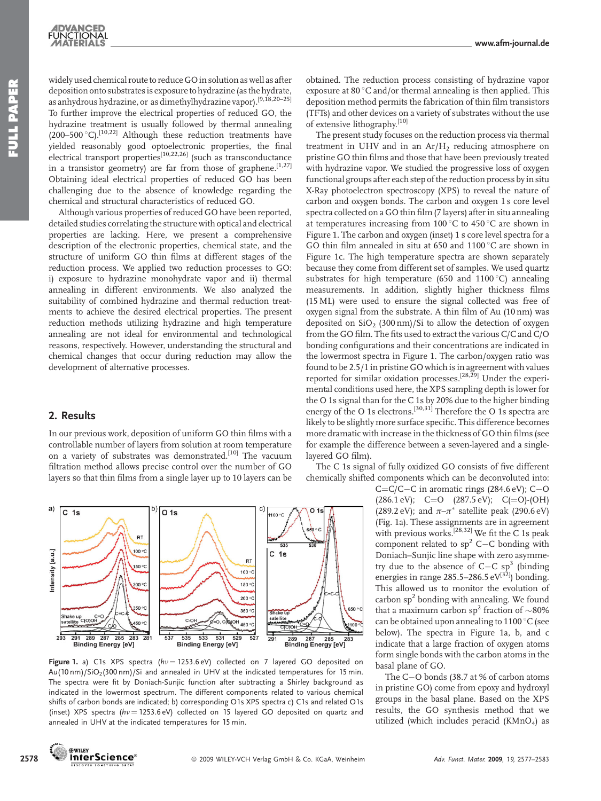widely used chemical route to reduce GO in solution as well as after deposition onto substrates is exposure to hydrazine (as the hydrate, as anhydrous hydrazine, or as dimethylhydrazine vapor).[9,18,20–25] To further improve the electrical properties of reduced GO, the hydrazine treatment is usually followed by thermal annealing (200–500 °C).<sup>[10,22]</sup> Although these reduction treatments have yielded reasonably good optoelectronic properties, the final electrical transport properties<sup>[10,22,26]</sup> (such as transconductance in a transistor geometry) are far from those of graphene.<sup>[1,27]</sup> Obtaining ideal electrical properties of reduced GO has been challenging due to the absence of knowledge regarding the chemical and structural characteristics of reduced GO.

Although various properties of reduced GO have been reported, detailed studies correlating the structure with optical and electrical properties are lacking. Here, we present a comprehensive description of the electronic properties, chemical state, and the structure of uniform GO thin films at different stages of the reduction process. We applied two reduction processes to GO: i) exposure to hydrazine monohydrate vapor and ii) thermal annealing in different environments. We also analyzed the suitability of combined hydrazine and thermal reduction treatments to achieve the desired electrical properties. The present reduction methods utilizing hydrazine and high temperature annealing are not ideal for environmental and technological reasons, respectively. However, understanding the structural and chemical changes that occur during reduction may allow the development of alternative processes.

### 2. Results

In our previous work, deposition of uniform GO thin films with a controllable number of layers from solution at room temperature on a variety of substrates was demonstrated.<sup>[10]</sup> The vacuum filtration method allows precise control over the number of GO layers so that thin films from a single layer up to 10 layers can be



Figure 1. a) C1s XPS spectra ( $hv = 1253.6 \text{ eV}$ ) collected on 7 layered GO deposited on Au(10 nm)/SiO<sub>2</sub>(300 nm)/Si and annealed in UHV at the indicated temperatures for 15 min. The spectra were fit by Doniach-Sunjic function after subtracting a Shirley background as indicated in the lowermost spectrum. The different components related to various chemical shifts of carbon bonds are indicated; b) corresponding O1s XPS spectra c) C1s and related O1s (inset) XPS spectra ( $hv = 1253.6 \text{ eV}$ ) collected on 15 layered GO deposited on quartz and annealed in UHV at the indicated temperatures for 15 min.

obtained. The reduction process consisting of hydrazine vapor exposure at  $80^{\circ}$ C and/or thermal annealing is then applied. This deposition method permits the fabrication of thin film transistors (TFTs) and other devices on a variety of substrates without the use of extensive lithography.<sup>[10]</sup>

The present study focuses on the reduction process via thermal treatment in UHV and in an  $Ar/H<sub>2</sub>$  reducing atmosphere on pristine GO thin films and those that have been previously treated with hydrazine vapor. We studied the progressive loss of oxygen functional groups after each step of the reduction process by in situ X-Ray photoelectron spectroscopy (XPS) to reveal the nature of carbon and oxygen bonds. The carbon and oxygen 1 s core level spectra collected on a GO thin film (7 layers) after in situ annealing at temperatures increasing from 100 $\degree$ C to 450 $\degree$ C are shown in Figure 1. The carbon and oxygen (inset) 1 s core level spectra for a GO thin film annealed in situ at 650 and  $1100\,^{\circ}$ C are shown in Figure 1c. The high temperature spectra are shown separately because they come from different set of samples. We used quartz substrates for high temperature (650 and 1100 $^{\circ}$ C) annealing measurements. In addition, slightly higher thickness films (15 ML) were used to ensure the signal collected was free of oxygen signal from the substrate. A thin film of Au (10 nm) was deposited on  $SiO<sub>2</sub>$  (300 nm)/Si to allow the detection of oxygen from the GO film. The fits used to extract the various C/C and C/O bonding configurations and their concentrations are indicated in the lowermost spectra in Figure 1. The carbon/oxygen ratio was found to be 2.5/1 in pristine GO which is in agreement with values reported for similar oxidation processes.<sup>[28,29]</sup> Under the experimental conditions used here, the XPS sampling depth is lower for the O 1s signal than for the C 1s by 20% due to the higher binding energy of the O 1s electrons.<sup>[30,31]</sup> Therefore the O 1s spectra are likely to be slightly more surface specific. This difference becomes more dramatic with increase in the thickness of GO thin films (see for example the difference between a seven-layered and a singlelayered GO film).

The C 1s signal of fully oxidized GO consists of five different chemically shifted components which can be deconvoluted into:

> $C=C/C-C$  in aromatic rings (284.6 eV);  $C-O$  $(286.1 \text{ eV}); \quad C=O \quad (287.5 \text{ eV}); \quad C(=O)-(OH)$ (289.2 eV); and  $\pi-\pi^*$  satellite peak (290.6 eV) (Fig. 1a). These assignments are in agreement with previous works.<sup>[28,32]</sup> We fit the C 1s peak component related to  $sp^2$  C-C bonding with Doniach–Sunjic line shape with zero asymmetry due to the absence of  $C-C$  sp<sup>3</sup> (binding energies in range 285.5–286.5 eV $^{[3\bar{2}]}$ ) bonding. This allowed us to monitor the evolution of carbon  $sp<sup>2</sup>$  bonding with annealing. We found that a maximum carbon  $sp^2$  fraction of  $\sim$ 80% can be obtained upon annealing to  $1100\,^{\circ}$ C (see below). The spectra in Figure 1a, b, and c indicate that a large fraction of oxygen atoms form single bonds with the carbon atoms in the basal plane of GO.

> The C-O bonds (38.7 at % of carbon atoms in pristine GO) come from epoxy and hydroxyl groups in the basal plane. Based on the XPS results, the GO synthesis method that we utilized (which includes peracid (KMnO4) as

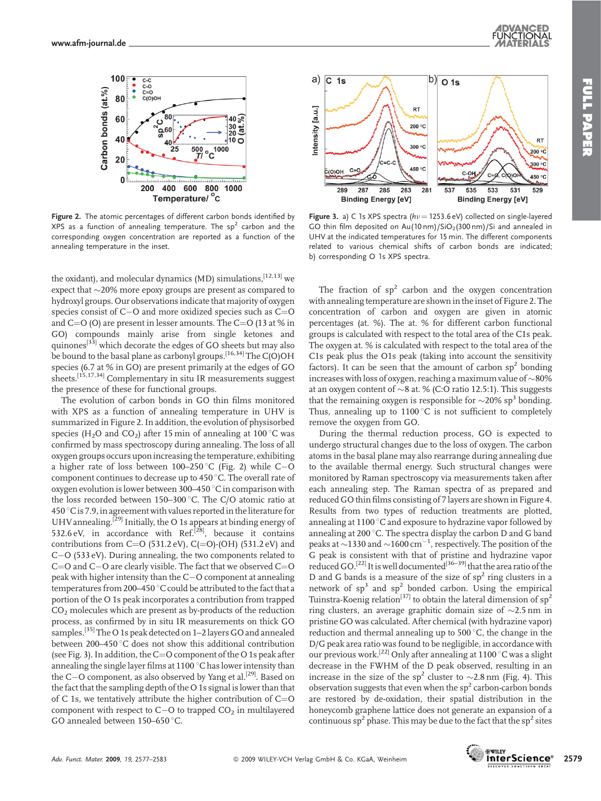

Figure 2. The atomic percentages of different carbon bonds identified by  $XPS$  as a function of annealing temperature. The  $sp<sup>2</sup>$  carbon and the corresponding oxygen concentration are reported as a function of the annealing temperature in the inset.

the oxidant), and molecular dynamics (MD) simulations, [12,13] we expect that  $\sim$ 20% more epoxy groups are present as compared to hydroxyl groups. Our observations indicate that majority of oxygen species consist of C $-$ O and more oxidized species such as C $=$ O and  $C=O$  (O) are present in lesser amounts. The  $C=O$  (13 at % in GO) compounds mainly arise from single ketones and quinones<sup>[33]</sup> which decorate the edges of GO sheets but may also be bound to the basal plane as carbonyl groups.<sup>[16,34]</sup> The C(O)OH species (6.7 at % in GO) are present primarily at the edges of GO sheets.<sup>[15,17,34]</sup> Complementary in situ IR measurements suggest the presence of these for functional groups.

The evolution of carbon bonds in GO thin films monitored with XPS as a function of annealing temperature in UHV is summarized in Figure 2. In addition, the evolution of physisorbed species (H<sub>2</sub>O and CO<sub>2</sub>) after 15 min of annealing at 100 °C was confirmed by mass spectroscopy during annealing. The loss of all oxygen groups occurs upon increasing the temperature, exhibiting a higher rate of loss between 100–250  $^{\circ}$ C (Fig. 2) while C $-$ O component continues to decrease up to 450 °C. The overall rate of oxygen evolution is lower between 300–450  $\mathrm{°C}$  in comparison with the loss recorded between 150-300 $^{\circ}$ C. The C/O atomic ratio at  $450^{\circ}$ C is 7.9, in agreement with values reported in the literature for UHV annealing.<sup>[29]</sup> Initially, the O 1s appears at binding energy of 532.6 eV, in accordance with Ref.<sup>[28]</sup>, because it contains contributions from  $C=O(531.2 \text{ eV})$ ,  $C(=O)-(OH)(531.2 \text{ eV})$  and C-O (533 eV). During annealing, the two components related to C=O and C $-$ O are clearly visible. The fact that we observed C=O peak with higher intensity than the C-O component at annealing temperatures from 200–450  $^{\circ}$ C could be attributed to the fact that a portion of the O 1s peak incorporates a contribution from trapped  $CO<sub>2</sub>$  molecules which are present as by-products of the reduction process, as confirmed by in situ IR measurements on thick GO samples.<sup>[35]</sup> The O 1s peak detected on 1–2 layers GO and annealed between 200–450 $\degree$ C does not show this additional contribution (see Fig. 3). In addition, the  $C=O$  component of the O 1s peak after annealing the single layer films at  $1100^{\circ}$ C has lower intensity than the C-O component, as also observed by Yang et al.<sup>[29]</sup>. Based on the fact that the sampling depth of the O 1s signal is lower than that of C 1s, we tentatively attribute the higher contribution of  $C=O$ component with respect to C $-$ O to trapped CO $_2$  in multilayered GO annealed between  $150-650$  °C.



Figure 3. a) C 1s XPS spectra ( $hv = 1253.6$  eV) collected on single-layered GO thin film deposited on  $Au(10 \text{ nm})/SiO<sub>2</sub>(300 \text{ nm})/Si$  and annealed in UHV at the indicated temperatures for 15 min. The different components related to various chemical shifts of carbon bonds are indicated; b) corresponding O 1s XPS spectra.

The fraction of  $sp<sup>2</sup>$  carbon and the oxygen concentration with annealing temperature are shown in the inset of Figure 2. The concentration of carbon and oxygen are given in atomic percentages (at. %). The at. % for different carbon functional groups is calculated with respect to the total area of the C1s peak. The oxygen at. % is calculated with respect to the total area of the C1s peak plus the O1s peak (taking into account the sensitivity factors). It can be seen that the amount of carbon  $sp^2$  bonding increases with loss of oxygen, reaching a maximum value of  $\sim80\%$ at an oxygen content of  $\sim$ 8 at. % (C:O ratio 12.5:1). This suggests that the remaining oxygen is responsible for  $\sim$ 20% sp<sup>3</sup> bonding. Thus, annealing up to  $1100\degree C$  is not sufficient to completely remove the oxygen from GO.

During the thermal reduction process, GO is expected to undergo structural changes due to the loss of oxygen. The carbon atoms in the basal plane may also rearrange during annealing due to the available thermal energy. Such structural changes were monitored by Raman spectroscopy via measurements taken after each annealing step. The Raman spectra of as prepared and reduced GO thin films consisting of 7 layers are shown in Figure 4. Results from two types of reduction treatments are plotted, annealing at 1100 $\degree$ C and exposure to hydrazine vapor followed by annealing at 200 $\degree$ C. The spectra display the carbon D and G band peaks at  $\sim$ 1330 and  $\sim$ 1600 cm $^{-1}$ , respectively. The position of the G peak is consistent with that of pristine and hydrazine vapor reduced GO.<sup>[22]</sup> It is well documented<sup>[36–39]</sup> that the area ratio of the D and G bands is a measure of the size of  $sp^2$  ring clusters in a network of  $sp^3$  and  $sp^2$  bonded carbon. Using the empirical Tuinstra-Koenig relation<sup>[37]</sup> to obtain the lateral dimension of  $sp^2$ ring clusters, an average graphitic domain size of  $\sim$ 2.5 nm in pristine GO was calculated. After chemical (with hydrazine vapor) reduction and thermal annealing up to  $500^{\circ}$ C, the change in the D/G peak area ratio was found to be negligible, in accordance with our previous work.<sup>[22]</sup> Only after annealing at 1100 °C was a slight decrease in the FWHM of the D peak observed, resulting in an increase in the size of the sp<sup>2</sup> cluster to  $\sim$  2.8 nm (Fig. 4). This observation suggests that even when the  $sp^2$  carbon-carbon bonds are restored by de-oxidation, their spatial distribution in the honeycomb graphene lattice does not generate an expansion of a continuous  $sp^2$  phase. This may be due to the fact that the  $sp^2$  sites

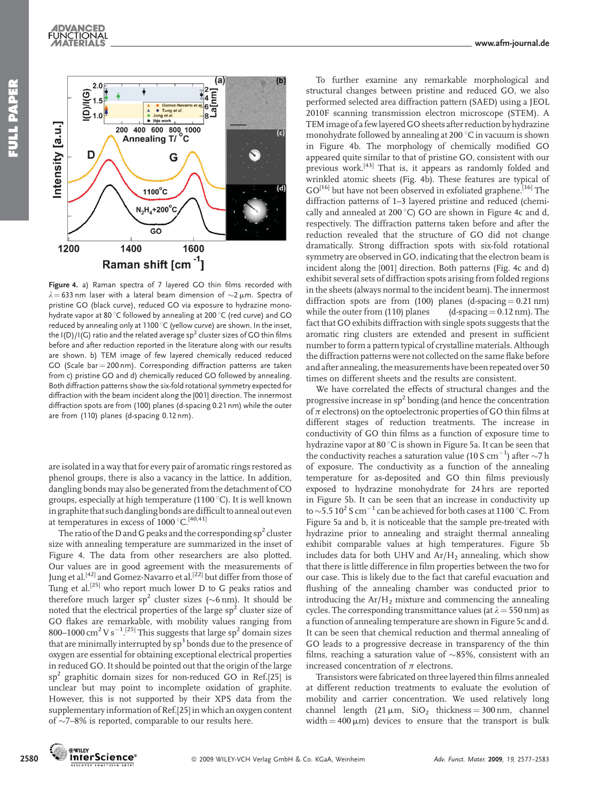



Figure 4. a) Raman spectra of 7 layered GO thin films recorded with  $\lambda = 633$  nm laser with a lateral beam dimension of  $\sim$ 2 µm. Spectra of pristine GO (black curve), reduced GO via exposure to hydrazine monohydrate vapor at 80 $\degree$ C followed by annealing at 200 $\degree$ C (red curve) and GO reduced by annealing only at 1100 °C (yellow curve) are shown. In the inset, the  $I(D)/I(G)$  ratio and the related average sp<sup>2</sup> cluster sizes of GO thin films before and after reduction reported in the literature along with our results are shown. b) TEM image of few layered chemically reduced reduced GO (Scale bar  $=$  200 nm). Corresponding diffraction patterns are taken from c) pristine GO and d) chemically reduced GO followed by annealing. Both diffraction patterns show the six-fold rotational symmetry expected for diffraction with the beam incident along the [001] direction. The innermost diffraction spots are from (100) planes (d-spacing 0.21 nm) while the outer are from (110) planes (d-spacing 0.12 nm).

are isolated in a way that for every pair of aromatic rings restored as phenol groups, there is also a vacancy in the lattice. In addition, dangling bonds may also be generated from the detachment of CO groups, especially at high temperature (1100 $^{\circ}$ C). It is well known in graphite that such dangling bonds are difficult to anneal out even at temperatures in excess of  $1000^{\circ}$ C.<sup>[40,41]</sup>

The ratio of the D and G peaks and the corresponding  $sp<sup>2</sup>$  cluster size with annealing temperature are summarized in the inset of Figure 4. The data from other researchers are also plotted. Our values are in good agreement with the measurements of Jung et al.<sup>[42]</sup> and Gomez-Navarro et al.<sup>[22]</sup> but differ from those of Tung et al.<sup>[25]</sup> who report much lower D to G peaks ratios and therefore much larger  $sp^2$  cluster sizes (~6 nm). It should be noted that the electrical properties of the large  $sp<sup>2</sup>$  cluster size of GO flakes are remarkable, with mobility values ranging from 800–1000 cm<sup>2</sup> V s<sup>-1</sup>.<sup>[25]</sup> This suggests that large sp<sup>2</sup> domain sizes that are minimally interrupted by  $sp<sup>3</sup>$  bonds due to the presence of oxygen are essential for obtaining exceptional electrical properties in reduced GO. It should be pointed out that the origin of the large sp<sup>2</sup> graphitic domain sizes for non-reduced GO in Ref.[25] is unclear but may point to incomplete oxidation of graphite. However, this is not supported by their XPS data from the supplementary information of Ref.[25] in which an oxygen content of  $\sim$ 7–8% is reported, comparable to our results here.

To further examine any remarkable morphological and structural changes between pristine and reduced GO, we also performed selected area diffraction pattern (SAED) using a JEOL 2010F scanning transmission electron microscope (STEM). A TEMimage of a few layered GO sheets after reduction by hydrazine monohydrate followed by annealing at 200 °C in vacuum is shown in Figure 4b. The morphology of chemically modified GO appeared quite similar to that of pristine GO, consistent with our previous work.<sup>[43]</sup> That is, it appears as randomly folded and wrinkled atomic sheets (Fig. 4b). These features are typical of GO<sup>[16]</sup> but have not been observed in exfoliated graphene.<sup>[16]</sup> The diffraction patterns of 1–3 layered pristine and reduced (chemically and annealed at 200 $^{\circ}$ C) GO are shown in Figure 4c and d, respectively. The diffraction patterns taken before and after the reduction revealed that the structure of GO did not change dramatically. Strong diffraction spots with six-fold rotational symmetry are observed in GO, indicating that the electron beam is incident along the [001] direction. Both patterns (Fig. 4c and d) exhibit several sets of diffraction spots arising from folded regions in the sheets (always normal to the incident beam). The innermost diffraction spots are from  $(100)$  planes  $(d\text{-}spacing = 0.21 \text{ nm})$ while the outer from (110) planes  $(d\text{-spacing} = 0.12 \text{ nm})$ . The fact that GO exhibits diffraction with single spots suggests that the aromatic ring clusters are extended and present in sufficient number to form a pattern typical of crystalline materials. Although the diffraction patterns were not collected on the same flake before and after annealing, the measurements have been repeated over 50 times on different sheets and the results are consistent.

We have correlated the effects of structural changes and the progressive increase in  ${sp}^2$  bonding (and hence the concentration of  $\pi$  electrons) on the optoelectronic properties of GO thin films at different stages of reduction treatments. The increase in conductivity of GO thin films as a function of exposure time to hydrazine vapor at 80  $\degree$ C is shown in Figure 5a. It can be seen that the conductivity reaches a saturation value (10 S  $\rm cm^{-1}$ ) after  ${\sim}7\rm\,h$ of exposure. The conductivity as a function of the annealing temperature for as-deposited and GO thin films previously exposed to hydrazine monohydrate for 24 hrs are reported in Figure 5b. It can be seen that an increase in conductivity up to  ${\sim}5.5\,10^2$  S cm $^{-1}$  can be achieved for both cases at 1100  $^{\circ}$ C. From Figure 5a and b, it is noticeable that the sample pre-treated with hydrazine prior to annealing and straight thermal annealing exhibit comparable values at high temperatures. Figure 5b includes data for both UHV and  $Ar/H_2$  annealing, which show that there is little difference in film properties between the two for our case. This is likely due to the fact that careful evacuation and flushing of the annealing chamber was conducted prior to introducing the  $Ar/H<sub>2</sub>$  mixture and commencing the annealing cycles. The corresponding transmittance values (at  $\lambda = 550$  nm) as a function of annealing temperature are shown in Figure 5c and d. It can be seen that chemical reduction and thermal annealing of GO leads to a progressive decrease in transparency of the thin films, reaching a saturation value of  $\sim$ 85%, consistent with an increased concentration of  $\pi$  electrons.

Transistors were fabricated on three layered thin films annealed at different reduction treatments to evaluate the evolution of mobility and carrier concentration. We used relatively long channel length  $(21 \mu m, SiO<sub>2</sub> thickness = 300 nm, channel)$ width  $=$  400  $\mu$ m) devices to ensure that the transport is bulk

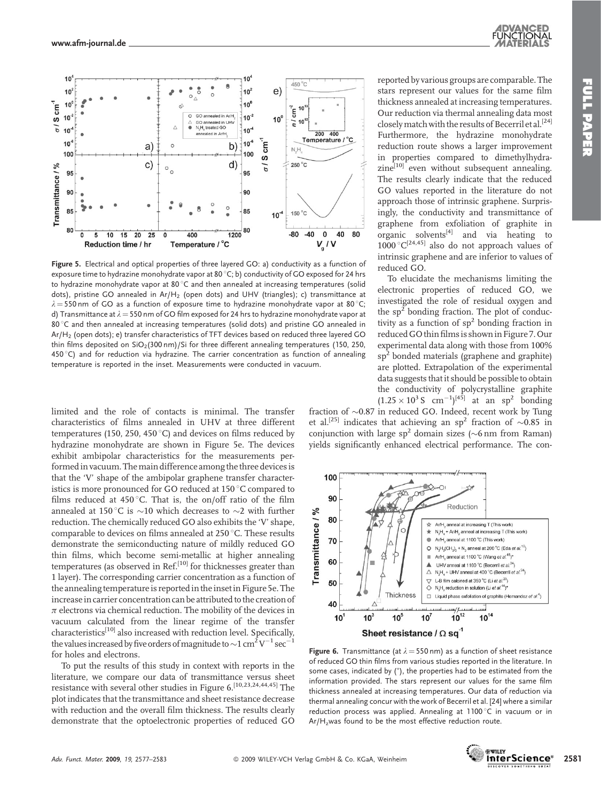



Figure 5. Electrical and optical properties of three layered GO: a) conductivity as a function of exposure time to hydrazine monohydrate vapor at 80 °C; b) conductivity of GO exposed for 24 hrs to hydrazine monohydrate vapor at  $80^{\circ}$ C and then annealed at increasing temperatures (solid dots), pristine GO annealed in  $Ar/H_2$  (open dots) and UHV (triangles); c) transmittance at  $\lambda = 550$  nm of GO as a function of exposure time to hydrazine monohydrate vapor at 80 °C; d) Transmittance at  $\lambda = 550$  nm of GO film exposed for 24 hrs to hydrazine monohydrate vapor at 80 °C and then annealed at increasing temperatures (solid dots) and pristine GO annealed in Ar/H2 (open dots); e) transfer characteristics of TFT devices based on reduced three layered GO thin films deposited on  $SiO<sub>2</sub>(300 nm)/Si$  for three different annealing temperatures (150, 250,  $450^{\circ}$ C) and for reduction via hydrazine. The carrier concentration as function of annealing temperature is reported in the inset. Measurements were conducted in vacuum.

limited and the role of contacts is minimal. The transfer characteristics of films annealed in UHV at three different temperatures (150, 250, 450 $^{\circ}$ C) and devices on films reduced by hydrazine monohydrate are shown in Figure 5e. The devices exhibit ambipolar characteristics for the measurements performed in vacuum. The main difference among the three devices is that the 'V' shape of the ambipolar graphene transfer characteristics is more pronounced for GO reduced at 150 °C compared to films reduced at 450 $\degree$ C. That is, the on/off ratio of the film annealed at 150 °C is  $\sim$ 10 which decreases to  $\sim$ 2 with further reduction. The chemically reduced GO also exhibits the 'V' shape, comparable to devices on films annealed at 250 °C. These results demonstrate the semiconducting nature of mildly reduced GO thin films, which become semi-metallic at higher annealing temperatures (as observed in Ref.<sup>[10]</sup> for thicknesses greater than 1 layer). The corresponding carrier concentration as a function of the annealing temperature is reported in the inset in Figure 5e. The increase in carrier concentration can be attributed to the creation of  $\pi$  electrons via chemical reduction. The mobility of the devices in vacuum calculated from the linear regime of the transfer  ${\rm characteristics}^{[10]}$  also increased with reduction level. Specifically, the values increased by five orders of magnitude to  $\sim$  1 cm $^{\tilde{2}}$  V $^{-1}$  sec $^{-1}$ for holes and electrons.

To put the results of this study in context with reports in the literature, we compare our data of transmittance versus sheet resistance with several other studies in Figure 6.<sup>[10,23,24,44,45]</sup> The plot indicates that the transmittance and sheet resistance decrease with reduction and the overall film thickness. The results clearly demonstrate that the optoelectronic properties of reduced GO

reported by various groups are comparable. The stars represent our values for the same film thickness annealed at increasing temperatures. Our reduction via thermal annealing data most closely match with the results of Becerril et al.<sup>[24]</sup> Furthermore, the hydrazine monohydrate reduction route shows a larger improvement in properties compared to dimethylhydra $zine^{[10]}$  even without subsequent annealing. The results clearly indicate that the reduced GO values reported in the literature do not approach those of intrinsic graphene. Surprisingly, the conductivity and transmittance of graphene from exfoliation of graphite in  $\sigma$  organic solvents<sup>[4]</sup> and via heating to  $1000^{\circ}C^{[24,45]}$  also do not approach values of intrinsic graphene and are inferior to values of reduced GO.

To elucidate the mechanisms limiting the electronic properties of reduced GO, we investigated the role of residual oxygen and the  $sp<sup>2</sup>$  bonding fraction. The plot of conductivity as a function of  $sp^2$  bonding fraction in reduced GOthin filmsis shownin Figure 7. Our experimental data along with those from 100%  $sp<sup>2</sup>$  bonded materials (graphene and graphite) are plotted. Extrapolation of the experimental data suggests that it should be possible to obtain the conductivity of polycrystalline graphite  $(1.25 \times 10^{3} \text{ S cm}^{-1})^{[45]}$  at an sp<sup>2</sup> bonding

fraction of  $\sim 0.87$  in reduced GO. Indeed, recent work by Tung et al.<sup>[25]</sup> indicates that achieving an sp<sup>2</sup> fraction of  $\sim$ 0.85 in conjunction with large  $sp^2$  domain sizes ( $\sim$ 6 nm from Raman) yields significantly enhanced electrical performance. The con-



**Figure 6.** Transmittance (at  $\lambda = 550$  nm) as a function of sheet resistance of reduced GO thin films from various studies reported in the literature. In some cases, indicated by  $(*)$ , the properties had to be estimated from the information provided. The stars represent our values for the same film thickness annealed at increasing temperatures. Our data of reduction via thermal annealing concur with the work of Becerril et al. [24] where a similar reduction process was applied. Annealing at 1100 $\degree$ C in vacuum or in Ar/H<sub>z</sub>was found to be the most effective reduction route.

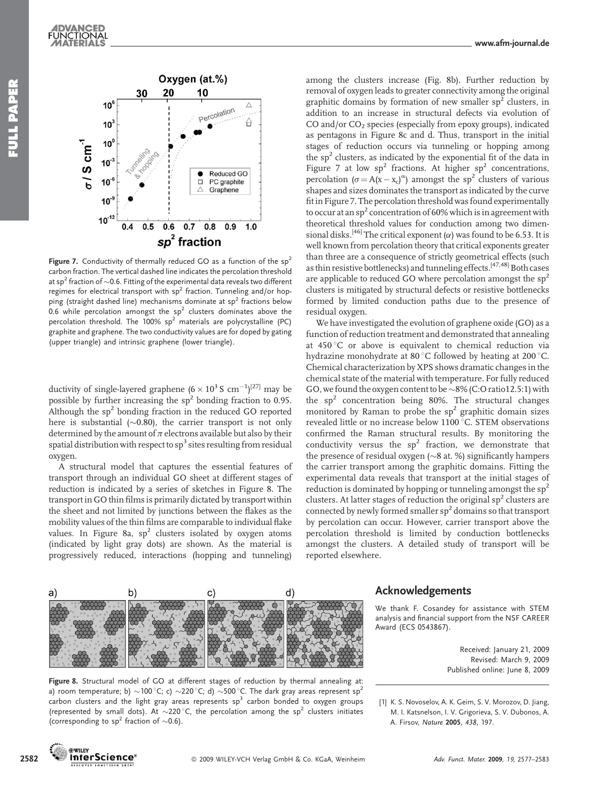#### Oxygen (at.%) 20 10 30  $10<sup>6</sup>$ Δ arcolation  $10<sup>3</sup>$ А  $10<sup>0</sup>$  $5/5$  cm<sup>-1</sup>  $10<sup>3</sup>$ Reduced GO PC graphite  $10<sup>°</sup>$  $\Box$ Graphene  $10<sup>°</sup>$  $10^{-12}$  $0.5$  $0.6$  $\overline{0.7}$  $0.8$  $04$  $0.9$  $1.0$  $sp<sup>2</sup>$  fraction

Figure 7. Conductivity of thermally reduced GO as a function of the  $sp^2$ carbon fraction. The vertical dashed line indicates the percolation threshold at sp<sup>2</sup> fraction of  $\sim$  0.6. Fitting of the experimental data reveals two different regimes for electrical transport with  $sp^2$  fraction. Tunneling and/or hopping (straight dashed line) mechanisms dominate at  $sp<sup>2</sup>$  fractions below 0.6 while percolation amongst the  $sp^2$  clusters dominates above the percolation threshold. The  $100\%$  sp<sup>2</sup> materials are polycrystalline (PC) graphite and graphene. The two conductivity values are for doped by gating (upper triangle) and intrinsic graphene (lower triangle).

ductivity of single-layered graphene ( $6 \times 10^3$  S cm<sup>-1</sup>)<sup>[27]</sup> may be possible by further increasing the  $sp<sup>2</sup>$  bonding fraction to 0.95. Although the  $sp<sup>2</sup>$  bonding fraction in the reduced GO reported here is substantial ( $\sim$ 0.80), the carrier transport is not only determined by the amount of  $\pi$  electrons available but also by their spatial distribution with respect to  $sp^3$  sites resulting from residual oxygen.

A structural model that captures the essential features of transport through an individual GO sheet at different stages of reduction is indicated by a series of sketches in Figure 8. The transport in GO thin films is primarily dictated by transport within the sheet and not limited by junctions between the flakes as the mobility values of the thin films are comparable to individual flake values. In Figure 8a,  $sp^2$  clusters isolated by oxygen atoms (indicated by light gray dots) are shown. As the material is progressively reduced, interactions (hopping and tunneling)



among the clusters increase (Fig. 8b). Further reduction by removal of oxygen leads to greater connectivity among the original graphitic domains by formation of new smaller  $sp^2$  clusters, in addition to an increase in structural defects via evolution of CO and/or  $CO<sub>2</sub>$  species (especially from epoxy groups), indicated as pentagons in Figure 8c and d. Thus, transport in the initial stages of reduction occurs via tunneling or hopping among the  $sp<sup>2</sup>$  clusters, as indicated by the exponential fit of the data in Figure 7 at low  $sp^2$  fractions. At higher  $sp^2$  concentrations, percolation ( $\sigma = A(x - x_c)^\alpha$ ) amongst the sp<sup>2</sup> clusters of various shapes and sizes dominates the transport as indicated by the curve fit in Figure 7. The percolation threshold was found experimentally to occur at an  $sp^2$  concentration of 60% which is in agreement with theoretical threshold values for conduction among two dimensional disks.<sup>[46]</sup> The critical exponent ( $\alpha$ ) was found to be 6.53. It is well known from percolation theory that critical exponents greater than three are a consequence of strictly geometrical effects (such as thin resistive bottlenecks) and tunneling effects.<sup>[47,48]</sup> Both cases are applicable to reduced GO where percolation amongst the  $sp<sup>2</sup>$ clusters is mitigated by structural defects or resistive bottlenecks formed by limited conduction paths due to the presence of residual oxygen.

We have investigated the evolution of graphene oxide (GO) as a function of reduction treatment and demonstrated that annealing at  $450^{\circ}$ C or above is equivalent to chemical reduction via hydrazine monohydrate at 80 °C followed by heating at 200 °C. Chemical characterization by XPS shows dramatic changes in the chemical state of the material with temperature. For fully reduced GO, we found the oxygen content to be  $\sim8\%$  (C:O ratio12.5:1) with the  $sp^2$  concentration being 80%. The structural changes monitored by Raman to probe the  $sp<sup>2</sup>$  graphitic domain sizes revealed little or no increase below 1100 °C. STEM observations confirmed the Raman structural results. By monitoring the conductivity versus the  $sp^2$  fraction, we demonstrate that the presence of residual oxygen  $(\sim 8$  at. %) significantly hampers the carrier transport among the graphitic domains. Fitting the experimental data reveals that transport at the initial stages of reduction is dominated by hopping or tunneling amongst the  $sp^2$ clusters. At latter stages of reduction the original  $sp<sup>2</sup>$  clusters are connected by newly formed smaller sp<sup>2</sup> domains so that transport by percolation can occur. However, carrier transport above the percolation threshold is limited by conduction bottlenecks amongst the clusters. A detailed study of transport will be reported elsewhere.

#### Acknowledgements

We thank F. Cosandey for assistance with STEM analysis and financial support from the NSF CAREER Award (ECS 0543867).

[1] K. S. Novoselov, A. K. Geim, S. V. Morozov, D. Jiang, M. I. Katsnelson, I. V. Grigorieva, S. V. Dubonos, A.

A. Firsov, Nature 2005, 438, 197.

Received: January 21, 2009 Revised: March 9, 2009 Published online: June 8, 2009

Figure 8. Structural model of GO at different stages of reduction by thermal annealing at: a) room temperature; b)  $\sim$ 100 °C; c)  $\sim$ 220 °C; d)  $\sim$ 500 °C. The dark gray areas represent sp<sup>2</sup> carbon clusters and the light gray areas represents  $sp<sup>3</sup>$  carbon bonded to oxygen groups (represented by small dots). At  $\sim$ 220 °C, the percolation among the sp<sup>2</sup> clusters initiates (corresponding to sp<sup>2</sup> fraction of  $\sim$  0.6).